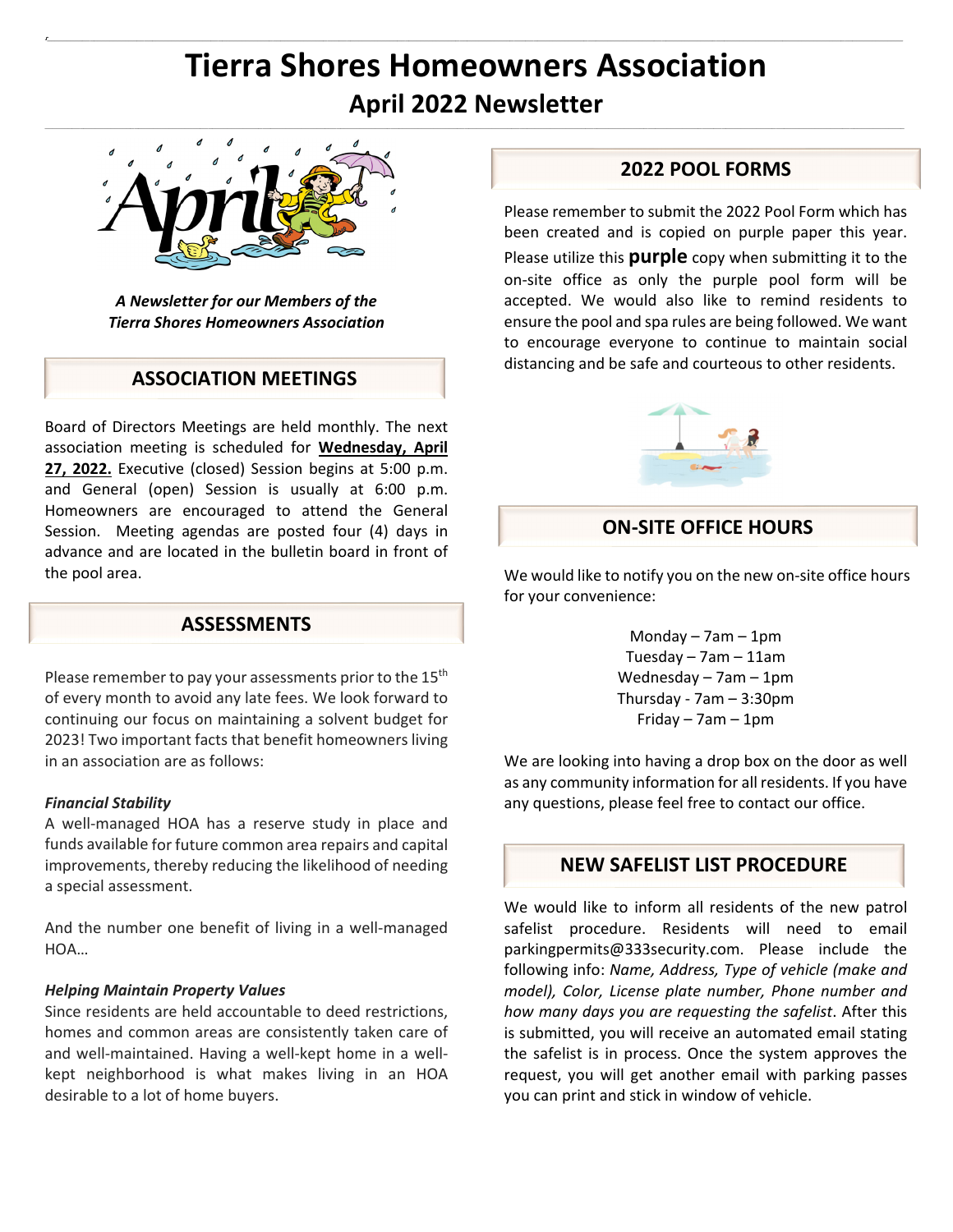# **Tierra Shores Homeowners Association April 2022 Newsletter**

 $\mathcal{L}_\text{u} = \mathcal{L}_\text{u} = \mathcal{L}_\text{u} = \mathcal{L}_\text{u} = \mathcal{L}_\text{u} = \mathcal{L}_\text{u} = \mathcal{L}_\text{u} = \mathcal{L}_\text{u} = \mathcal{L}_\text{u} = \mathcal{L}_\text{u} = \mathcal{L}_\text{u} = \mathcal{L}_\text{u} = \mathcal{L}_\text{u} = \mathcal{L}_\text{u} = \mathcal{L}_\text{u} = \mathcal{L}_\text{u} = \mathcal{L}_\text{u} = \mathcal{L}_\text{u} = \mathcal{$ 

ŗ.

 $\mathbf{r}$ 



*A Newsletter for our Members of the Tierra Shores Homeowners Association* 

## **ASSOCIATION MEETINGS**

Board of Directors Meetings are held monthly. The next association meeting is scheduled for **Wednesday, April 27, 2022.** Executive (closed) Session begins at 5:00 p.m. and General (open) Session is usually at 6:00 p.m. Homeowners are encouraged to attend the General Session. Meeting agendas are posted four (4) days in advance and are located in the bulletin board in front of the pool area.

## **ASSESSMENTS**

Please remember to pay your assessments prior to the 15<sup>th</sup> of every month to avoid any late fees. We look forward to continuing our focus on maintaining a solvent budget for 2023! Two important facts that benefit homeowners living in an association are as follows:

#### *Financial Stability*

A well‐managed HOA has a reserve study in place and funds available for future common area repairs and capital improvements, thereby reducing the likelihood of needing a special assessment.

And the number one benefit of living in a well‐managed HOA…

#### *Helping Maintain Property Values*

Since residents are held accountable to deed restrictions, homes and common areas are consistently taken care of and well‐maintained. Having a well‐kept home in a well‐ kept neighborhood is what makes living in an HOA desirable to a lot of home buyers.

## **2022 POOL FORMS**

Please remember to submit the 2022 Pool Form which has been created and is copied on purple paper this year. Please utilize this **purple** copy when submitting it to the on‐site office as only the purple pool form will be accepted. We would also like to remind residents to ensure the pool and spa rules are being followed. We want to encourage everyone to continue to maintain social distancing and be safe and courteous to other residents.



### **ON‐SITE OFFICE HOURS**

We would like to notify you on the new on‐site office hours for your convenience:

> Monday  $-7$ am  $-1$ pm Tuesday – 7am – 11am Wednesday – 7am – 1pm Thursday ‐ 7am – 3:30pm Friday – 7am – 1pm

We are looking into having a drop box on the door as well as any community information for all residents. If you have any questions, please feel free to contact our office.

## **NEW SAFELIST LIST PROCEDURE**

We would like to inform all residents of the new patrol safelist procedure. Residents will need to email parkingpermits@333security.com. Please include the following info: *Name, Address, Type of vehicle (make and model), Color, License plate number, Phone number and how many days you are requesting the safelist*. After this is submitted, you will receive an automated email stating the safelist is in process. Once the system approves the request, you will get another email with parking passes you can print and stick in window of vehicle.